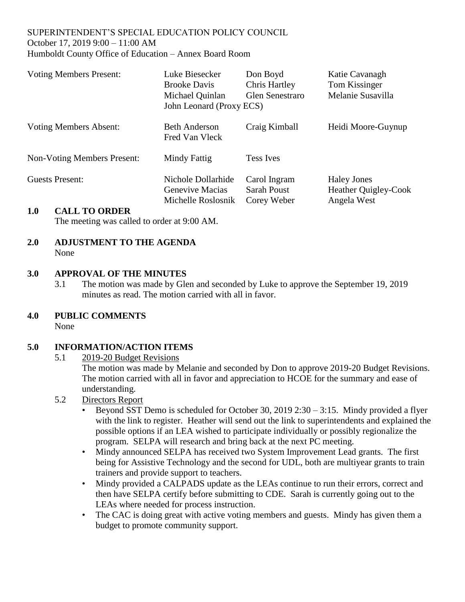#### SUPERINTENDENT'S SPECIAL EDUCATION POLICY COUNCIL October 17, 2019 9:00 – 11:00 AM Humboldt County Office of Education – Annex Board Room

| <b>Voting Members Present:</b>     | Luke Biesecker<br><b>Brooke Davis</b><br>Michael Quinlan<br>John Leonard (Proxy ECS) | Don Boyd<br><b>Chris Hartley</b><br><b>Glen Senestraro</b> | Katie Cavanagh<br>Tom Kissinger<br>Melanie Susavilla             |
|------------------------------------|--------------------------------------------------------------------------------------|------------------------------------------------------------|------------------------------------------------------------------|
| <b>Voting Members Absent:</b>      | <b>Beth Anderson</b><br>Fred Van Vleck                                               | Craig Kimball                                              | Heidi Moore-Guynup                                               |
| <b>Non-Voting Members Present:</b> | Mindy Fattig                                                                         | <b>Tess Ives</b>                                           |                                                                  |
| <b>Guests Present:</b>             | Nichole Dollarhide<br>Genevive Macias<br>Michelle Roslosnik                          | Carol Ingram<br><b>Sarah Poust</b><br>Corey Weber          | <b>Haley Jones</b><br><b>Heather Quigley-Cook</b><br>Angela West |
| 1 A<br>CALL TO ORDER               |                                                                                      |                                                            |                                                                  |

### **1.0 CALL TO ORDER**

The meeting was called to order at 9:00 AM.

#### **2.0 ADJUSTMENT TO THE AGENDA** None

### **3.0 APPROVAL OF THE MINUTES**

- 3.1 The motion was made by Glen and seconded by Luke to approve the September 19, 2019 minutes as read. The motion carried with all in favor.
- **4.0 PUBLIC COMMENTS**

None

### **5.0 INFORMATION/ACTION ITEMS**

#### 5.1 2019-20 Budget Revisions

The motion was made by Melanie and seconded by Don to approve 2019-20 Budget Revisions. The motion carried with all in favor and appreciation to HCOE for the summary and ease of understanding.

- 5.2 Directors Report
	- Beyond SST Demo is scheduled for October 30, 2019 2:30 3:15. Mindy provided a flyer with the link to register. Heather will send out the link to superintendents and explained the possible options if an LEA wished to participate individually or possibly regionalize the program. SELPA will research and bring back at the next PC meeting.
	- Mindy announced SELPA has received two System Improvement Lead grants. The first being for Assistive Technology and the second for UDL, both are multiyear grants to train trainers and provide support to teachers.
	- Mindy provided a CALPADS update as the LEAs continue to run their errors, correct and then have SELPA certify before submitting to CDE. Sarah is currently going out to the LEAs where needed for process instruction.
	- The CAC is doing great with active voting members and guests. Mindy has given them a budget to promote community support.